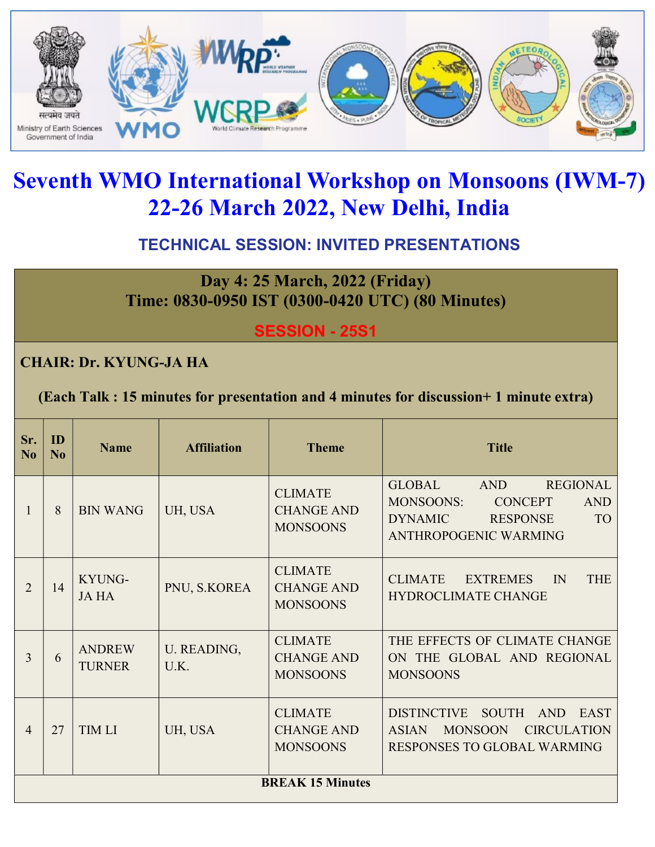

# Seventh WMO International Workshop on Monsoons (IWM-7) 22-26 March 2022, New Delhi, India

## TECHNICAL SESSION: INVITED PRESENTATIONS

Day 4: 25 March, 2022 (Friday) Time: 0830-0950 IST (0300-0420 UTC) (80 Minutes)

SESSION - 25S1

#### CHAIR: Dr. KYUNG-JA HA

(Each Talk : 15 minutes for presentation and 4 minutes for discussion+ 1 minute extra)

| Sr.<br>N <sub>0</sub> | ID<br>No                | <b>Name</b>                    | <b>Affiliation</b>  | <b>Theme</b>                                           | <b>Title</b>                                                                                                                                                           |
|-----------------------|-------------------------|--------------------------------|---------------------|--------------------------------------------------------|------------------------------------------------------------------------------------------------------------------------------------------------------------------------|
| 1                     | 8                       | <b>BIN WANG</b>                | UH, USA             | <b>CLIMATE</b><br><b>CHANGE AND</b><br><b>MONSOONS</b> | <b>GLOBAL</b><br><b>REGIONAL</b><br>AND<br><b>MONSOONS:</b><br><b>CONCEPT</b><br><b>AND</b><br><b>TO</b><br><b>DYNAMIC</b><br><b>RESPONSE</b><br>ANTHROPOGENIC WARMING |
| $\overline{2}$        | 14                      | KYUNG-<br><b>JAHA</b>          | PNU, S.KOREA        | <b>CLIMATE</b><br><b>CHANGE AND</b><br><b>MONSOONS</b> | <b>THE</b><br><b>CLIMATE</b><br><b>EXTREMES</b><br>$\mathbb{N}$<br>HYDROCLIMATE CHANGE                                                                                 |
| 3                     | 6                       | <b>ANDREW</b><br><b>TURNER</b> | U. READING,<br>U.K. | <b>CLIMATE</b><br><b>CHANGE AND</b><br><b>MONSOONS</b> | THE EFFECTS OF CLIMATE CHANGE<br>ON THE GLOBAL AND REGIONAL<br><b>MONSOONS</b>                                                                                         |
| $\overline{4}$        | 27                      | <b>TIM LI</b>                  | UH, USA             | <b>CLIMATE</b><br><b>CHANGE AND</b><br><b>MONSOONS</b> | <b>DISTINCTIVE</b><br><b>SOUTH</b><br><b>EAST</b><br><b>AND</b><br><b>MONSOON</b><br><b>CIRCULATION</b><br><b>ASIAN</b><br>RESPONSES TO GLOBAL WARMING                 |
|                       | <b>BREAK 15 Minutes</b> |                                |                     |                                                        |                                                                                                                                                                        |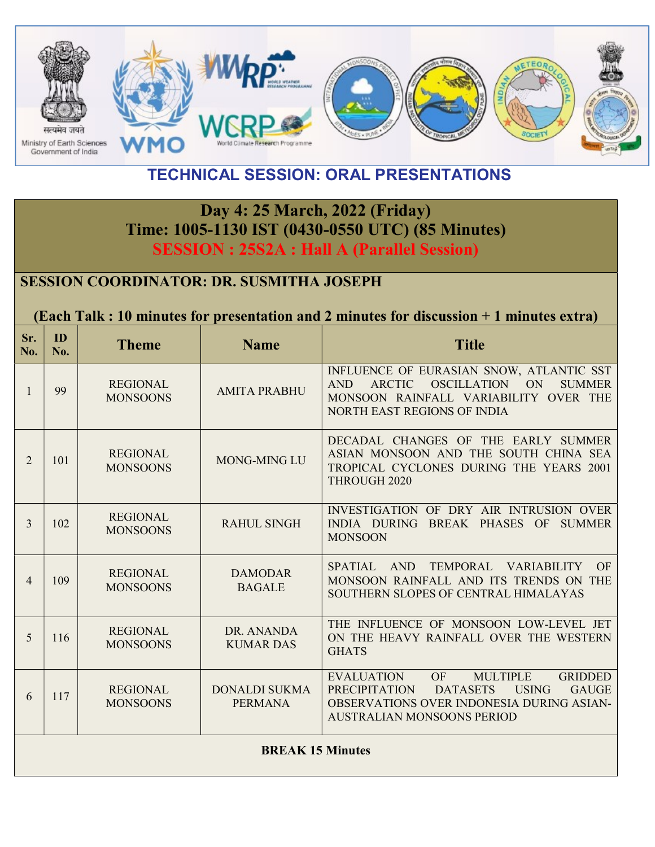

## TECHNICAL SESSION: ORAL PRESENTATIONS

## Day 4: 25 March, 2022 (Friday) Time: 1005-1130 IST (0430-0550 UTC) (85 Minutes) SESSION : 25S2A : Hall A (Parallel Session)

#### SESSION COORDINATOR: DR. SUSMITHA JOSEPH

#### (Each Talk : 10 minutes for presentation and 2 minutes for discussion + 1 minutes extra)

| Sr.<br>No. | ID<br>No.               | <b>Theme</b>                       | <b>Name</b>                            | <b>Title</b>                                                                                                                                                                                                              |  |
|------------|-------------------------|------------------------------------|----------------------------------------|---------------------------------------------------------------------------------------------------------------------------------------------------------------------------------------------------------------------------|--|
| 1          | 99                      | <b>REGIONAL</b><br><b>MONSOONS</b> | <b>AMITA PRABHU</b>                    | INFLUENCE OF EURASIAN SNOW, ATLANTIC SST<br>ARCTIC OSCILLATION ON<br><b>SUMMER</b><br>AND -<br>MONSOON RAINFALL VARIABILITY OVER THE<br><b>NORTH EAST REGIONS OF INDIA</b>                                                |  |
| 2          | 101                     | <b>REGIONAL</b><br><b>MONSOONS</b> | <b>MONG-MING LU</b>                    | DECADAL CHANGES OF THE EARLY SUMMER<br>ASIAN MONSOON AND THE SOUTH CHINA SEA<br>TROPICAL CYCLONES DURING THE YEARS 2001<br>THROUGH 2020                                                                                   |  |
| 3          | 102                     | <b>REGIONAL</b><br><b>MONSOONS</b> | <b>RAHUL SINGH</b>                     | INVESTIGATION OF DRY AIR INTRUSION OVER<br>INDIA DURING BREAK PHASES OF<br><b>SUMMER</b><br><b>MONSOON</b>                                                                                                                |  |
| 4          | 109                     | <b>REGIONAL</b><br><b>MONSOONS</b> | <b>DAMODAR</b><br><b>BAGALE</b>        | TEMPORAL VARIABILITY<br>AND<br>OF<br><b>SPATIAL</b><br>MONSOON RAINFALL AND ITS TRENDS ON THE<br>SOUTHERN SLOPES OF CENTRAL HIMALAYAS                                                                                     |  |
| 5          | 116                     | <b>REGIONAL</b><br><b>MONSOONS</b> | DR. ANANDA<br><b>KUMAR DAS</b>         | THE INFLUENCE OF MONSOON LOW-LEVEL JET<br>ON THE HEAVY RAINFALL OVER THE WESTERN<br><b>GHATS</b>                                                                                                                          |  |
| 6          | 117                     | <b>REGIONAL</b><br><b>MONSOONS</b> | <b>DONALDI SUKMA</b><br><b>PERMANA</b> | OF<br><b>MULTIPLE</b><br><b>GRIDDED</b><br><b>EVALUATION</b><br><b>USING</b><br><b>GAUGE</b><br><b>PRECIPITATION</b><br><b>DATASETS</b><br>OBSERVATIONS OVER INDONESIA DURING ASIAN-<br><b>AUSTRALIAN MONSOONS PERIOD</b> |  |
|            | <b>BREAK 15 Minutes</b> |                                    |                                        |                                                                                                                                                                                                                           |  |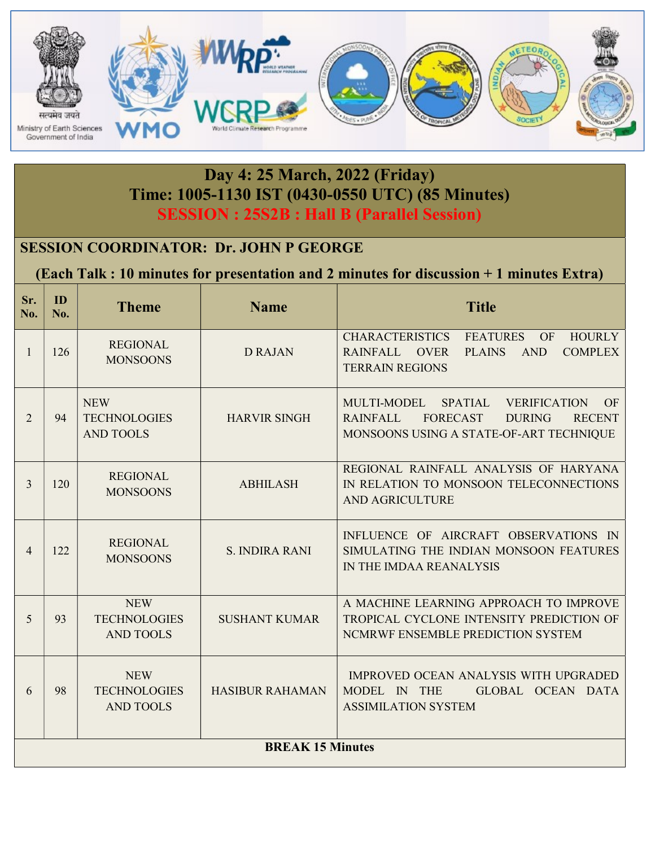

#### Day 4: 25 March, 2022 (Friday) Time: 1005-1130 IST (0430-0550 UTC) (85 Minutes) SESSION : 25S2B : Hall B (Parallel Session)

#### SESSION COORDINATOR: Dr. JOHN P GEORGE

(Each Talk : 10 minutes for presentation and 2 minutes for discussion + 1 minutes Extra)

| Sr.<br>No.     | ID<br>No.               | <b>Theme</b>                                          | <b>Name</b>            | <b>Title</b>                                                                                                                                                                  |  |
|----------------|-------------------------|-------------------------------------------------------|------------------------|-------------------------------------------------------------------------------------------------------------------------------------------------------------------------------|--|
| $\mathbf{1}$   | 126                     | <b>REGIONAL</b><br><b>MONSOONS</b>                    | <b>D RAJAN</b>         | CHARACTERISTICS FEATURES<br>HOURLY<br><b>OF</b><br>RAINFALL OVER<br>PLAINS AND<br><b>COMPLEX</b><br><b>TERRAIN REGIONS</b>                                                    |  |
| $\overline{2}$ | 94                      | <b>NEW</b><br><b>TECHNOLOGIES</b><br><b>AND TOOLS</b> | <b>HARVIR SINGH</b>    | MULTI-MODEL<br><b>SPATIAL</b><br><b>VERIFICATION</b><br>OF<br><b>RAINFALL</b><br><b>FORECAST</b><br><b>DURING</b><br><b>RECENT</b><br>MONSOONS USING A STATE-OF-ART TECHNIQUE |  |
| $\overline{3}$ | 120                     | <b>REGIONAL</b><br><b>MONSOONS</b>                    | <b>ABHILASH</b>        | REGIONAL RAINFALL ANALYSIS OF HARYANA<br>IN RELATION TO MONSOON TELECONNECTIONS<br>AND AGRICULTURE                                                                            |  |
| $\overline{4}$ | 122                     | <b>REGIONAL</b><br><b>MONSOONS</b>                    | <b>S. INDIRA RANI</b>  | INFLUENCE OF AIRCRAFT OBSERVATIONS IN<br>SIMULATING THE INDIAN MONSOON FEATURES<br>IN THE IMDAA REANALYSIS                                                                    |  |
| 5              | 93                      | <b>NEW</b><br><b>TECHNOLOGIES</b><br><b>AND TOOLS</b> | <b>SUSHANT KUMAR</b>   | A MACHINE LEARNING APPROACH TO IMPROVE<br>TROPICAL CYCLONE INTENSITY PREDICTION OF<br>NCMRWF ENSEMBLE PREDICTION SYSTEM                                                       |  |
| 6              | 98                      | <b>NEW</b><br><b>TECHNOLOGIES</b><br><b>AND TOOLS</b> | <b>HASIBUR RAHAMAN</b> | <b>IMPROVED OCEAN ANALYSIS WITH UPGRADED</b><br>MODEL IN THE<br>GLOBAL OCEAN DATA<br><b>ASSIMILATION SYSTEM</b>                                                               |  |
|                | <b>BREAK 15 Minutes</b> |                                                       |                        |                                                                                                                                                                               |  |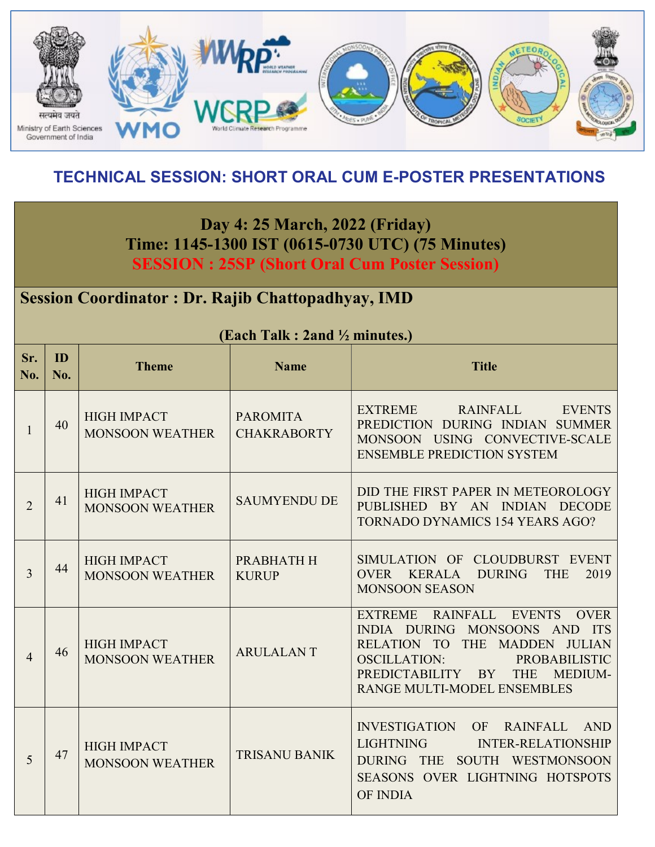

## TECHNICAL SESSION: SHORT ORAL CUM E-POSTER PRESENTATIONS

Day 4: 25 March, 2022 (Friday) Time: 1145-1300 IST (0615-0730 UTC) (75 Minutes) SESSION : 25SP (Short Oral Cum Poster Session)

#### Session Coordinator : Dr. Rajib Chattopadhyay, IMD

| Sr.<br>No.     | ID<br>N <sub>0</sub> . | <b>Theme</b>                                 | <b>Name</b>                           | <b>Title</b>                                                                                                                                                                                                                  |
|----------------|------------------------|----------------------------------------------|---------------------------------------|-------------------------------------------------------------------------------------------------------------------------------------------------------------------------------------------------------------------------------|
| 1              | 40                     | <b>HIGH IMPACT</b><br><b>MONSOON WEATHER</b> | <b>PAROMITA</b><br><b>CHAKRABORTY</b> | EXTREME RAINFALL EVENTS<br>PREDICTION DURING INDIAN SUMMER<br>MONSOON USING CONVECTIVE-SCALE<br><b>ENSEMBLE PREDICTION SYSTEM</b>                                                                                             |
| $\overline{2}$ | 41                     | <b>HIGH IMPACT</b><br><b>MONSOON WEATHER</b> | <b>SAUMYENDU DE</b>                   | DID THE FIRST PAPER IN METEOROLOGY<br>PUBLISHED BY AN INDIAN DECODE<br><b>TORNADO DYNAMICS 154 YEARS AGO?</b>                                                                                                                 |
| 3              | 44                     | <b>HIGH IMPACT</b><br><b>MONSOON WEATHER</b> | PRABHATH H<br><b>KURUP</b>            | SIMULATION OF CLOUDBURST EVENT<br>OVER KERALA DURING<br><b>THE</b><br>2019<br><b>MONSOON SEASON</b>                                                                                                                           |
| $\overline{4}$ | 46                     | <b>HIGH IMPACT</b><br><b>MONSOON WEATHER</b> | <b>ARULALANT</b>                      | EXTREME RAINFALL EVENTS<br><b>OVER</b><br>INDIA DURING MONSOONS AND ITS<br>RELATION TO THE MADDEN JULIAN<br>OSCILLATION:<br>PROBABILISTIC<br>PREDICTABILITY BY<br><b>THE</b><br><b>MEDIUM-</b><br>RANGE MULTI-MODEL ENSEMBLES |
| 5              | 47                     | <b>HIGH IMPACT</b><br><b>MONSOON WEATHER</b> | <b>TRISANU BANIK</b>                  | <b>INVESTIGATION</b><br>OF RAINFALL<br>AND<br><b>LIGHTNING</b><br><b>INTER-RELATIONSHIP</b><br>DURING THE SOUTH WESTMONSOON<br>SEASONS OVER LIGHTNING HOTSPOTS<br><b>OF INDIA</b>                                             |

(Each Talk : 2and ½ minutes.)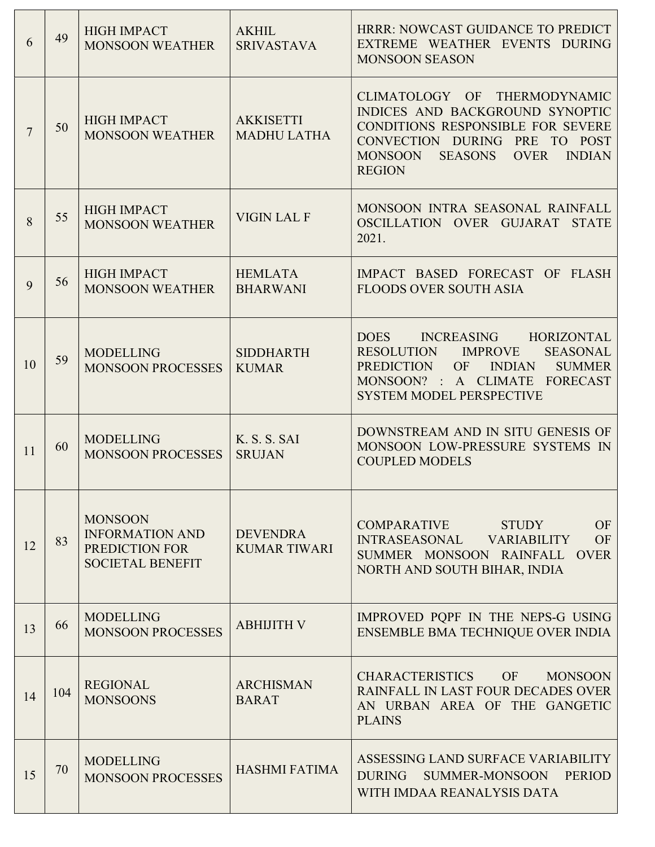| 6              | 49  | <b>HIGH IMPACT</b><br><b>MONSOON WEATHER</b>                                          | <b>AKHIL</b><br><b>SRIVASTAVA</b>      | HRRR: NOWCAST GUIDANCE TO PREDICT<br>EXTREME WEATHER EVENTS DURING<br><b>MONSOON SEASON</b>                                                                                                                                      |
|----------------|-----|---------------------------------------------------------------------------------------|----------------------------------------|----------------------------------------------------------------------------------------------------------------------------------------------------------------------------------------------------------------------------------|
| $\overline{7}$ | 50  | <b>HIGH IMPACT</b><br><b>MONSOON WEATHER</b>                                          | <b>AKKISETTI</b><br><b>MADHU LATHA</b> | THERMODYNAMIC<br>CLIMATOLOGY OF<br>INDICES AND BACKGROUND SYNOPTIC<br><b>CONDITIONS RESPONSIBLE FOR SEVERE</b><br>CONVECTION DURING PRE<br>TO POST<br><b>OVER</b><br><b>INDIAN</b><br><b>MONSOON</b><br>SEASONS<br><b>REGION</b> |
| 8              | 55  | <b>HIGH IMPACT</b><br><b>MONSOON WEATHER</b>                                          | <b>VIGIN LAL F</b>                     | MONSOON INTRA SEASONAL RAINFALL<br>OSCILLATION OVER GUJARAT STATE<br>2021.                                                                                                                                                       |
| 9              | 56  | <b>HIGH IMPACT</b><br><b>MONSOON WEATHER</b>                                          | <b>HEMLATA</b><br><b>BHARWANI</b>      | IMPACT BASED FORECAST OF FLASH<br><b>FLOODS OVER SOUTH ASIA</b>                                                                                                                                                                  |
| 10             | 59  | <b>MODELLING</b><br><b>MONSOON PROCESSES</b>                                          | <b>SIDDHARTH</b><br><b>KUMAR</b>       | INCREASING HORIZONTAL<br><b>DOES</b><br><b>RESOLUTION</b><br><b>IMPROVE</b><br><b>SEASONAL</b><br>PREDICTION<br>OF<br><b>INDIAN</b><br><b>SUMMER</b><br>MONSOON? : A CLIMATE FORECAST<br><b>SYSTEM MODEL PERSPECTIVE</b>         |
| 11             | 60  | <b>MODELLING</b><br><b>MONSOON PROCESSES</b>                                          | K. S. S. SAI<br><b>SRUJAN</b>          | DOWNSTREAM AND IN SITU GENESIS OF<br>MONSOON LOW-PRESSURE SYSTEMS IN<br><b>COUPLED MODELS</b>                                                                                                                                    |
| 12             | 83  | <b>MONSOON</b><br><b>INFORMATION AND</b><br>PREDICTION FOR<br><b>SOCIETAL BENEFIT</b> | <b>DEVENDRA</b><br><b>KUMAR TIWARI</b> | <b>COMPARATIVE</b><br>OF<br>STUDY<br>INTRASEASONAL VARIABILITY<br>OF<br>SUMMER MONSOON RAINFALL OVER<br>NORTH AND SOUTH BIHAR, INDIA                                                                                             |
| 13             | 66  | <b>MODELLING</b><br><b>MONSOON PROCESSES</b>                                          | <b>ABHIJITH V</b>                      | IMPROVED POPF IN THE NEPS-G USING<br>ENSEMBLE BMA TECHNIQUE OVER INDIA                                                                                                                                                           |
| 14             | 104 | <b>REGIONAL</b><br><b>MONSOONS</b>                                                    | <b>ARCHISMAN</b><br><b>BARAT</b>       | <b>CHARACTERISTICS</b><br>OF<br><b>MONSOON</b><br>RAINFALL IN LAST FOUR DECADES OVER<br>AN URBAN AREA OF THE GANGETIC<br><b>PLAINS</b>                                                                                           |
| 15             | 70  | <b>MODELLING</b><br><b>MONSOON PROCESSES</b>                                          | <b>HASHMI FATIMA</b>                   | ASSESSING LAND SURFACE VARIABILITY<br><b>DURING</b><br><b>SUMMER-MONSOON</b><br><b>PERIOD</b><br>WITH IMDAA REANALYSIS DATA                                                                                                      |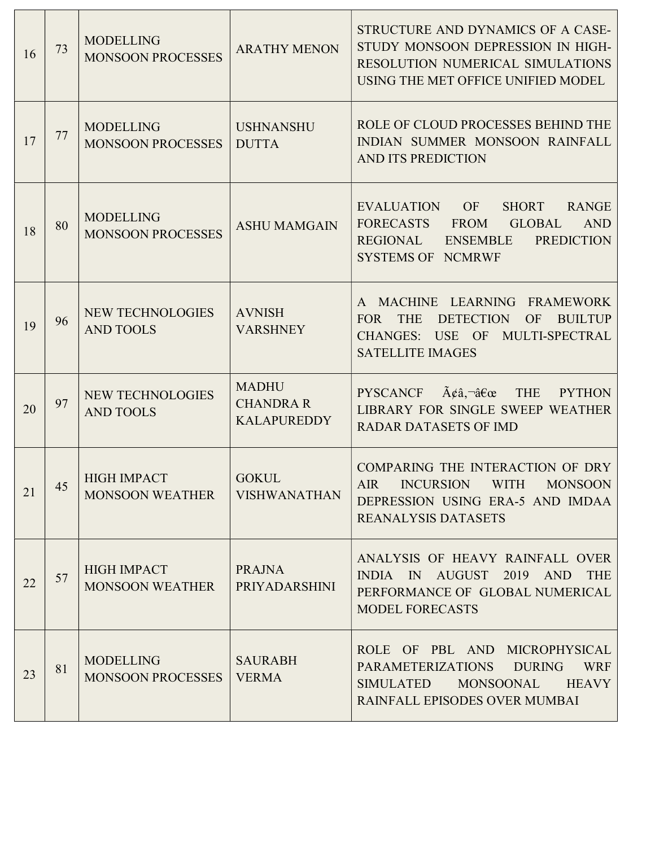| 16 | 73 | <b>MODELLING</b><br><b>MONSOON PROCESSES</b> | <b>ARATHY MENON</b>                                    | STRUCTURE AND DYNAMICS OF A CASE-<br>STUDY MONSOON DEPRESSION IN HIGH-<br>RESOLUTION NUMERICAL SIMULATIONS<br>USING THE MET OFFICE UNIFIED MODEL                                                                        |
|----|----|----------------------------------------------|--------------------------------------------------------|-------------------------------------------------------------------------------------------------------------------------------------------------------------------------------------------------------------------------|
| 17 | 77 | <b>MODELLING</b><br><b>MONSOON PROCESSES</b> | <b>USHNANSHU</b><br><b>DUTTA</b>                       | ROLE OF CLOUD PROCESSES BEHIND THE<br>INDIAN SUMMER MONSOON RAINFALL<br>AND ITS PREDICTION                                                                                                                              |
| 18 | 80 | <b>MODELLING</b><br><b>MONSOON PROCESSES</b> | <b>ASHU MAMGAIN</b>                                    | <b>EVALUATION</b><br><b>OF</b><br><b>RANGE</b><br><b>SHORT</b><br><b>AND</b><br><b>FORECASTS</b><br><b>FROM</b><br><b>GLOBAL</b><br><b>REGIONAL</b><br><b>ENSEMBLE</b><br><b>PREDICTION</b><br><b>SYSTEMS OF NCMRWF</b> |
| 19 | 96 | <b>NEW TECHNOLOGIES</b><br><b>AND TOOLS</b>  | <b>AVNISH</b><br><b>VARSHNEY</b>                       | MACHINE LEARNING<br><b>FRAMEWORK</b><br><b>DETECTION</b><br><b>BUILTUP</b><br><b>FOR</b><br><b>THE</b><br><b>OF</b><br><b>CHANGES:</b><br>USE OF<br>MULTI-SPECTRAL<br><b>SATELLITE IMAGES</b>                           |
| 20 | 97 | NEW TECHNOLOGIES<br><b>AND TOOLS</b>         | <b>MADHU</b><br><b>CHANDRA R</b><br><b>KALAPUREDDY</b> | $\tilde{A} \xi \hat{a}$ , $\tilde{a} \xi \hat{\alpha}$<br><b>THE</b><br><b>PYSCANCF</b><br><b>PYTHON</b><br>LIBRARY FOR SINGLE SWEEP WEATHER<br><b>RADAR DATASETS OF IMD</b>                                            |
| 21 | 45 | <b>HIGH IMPACT</b><br><b>MONSOON WEATHER</b> | <b>GOKUL</b><br><b>VISHWANATHAN</b>                    | COMPARING THE INTERACTION OF DRY<br><b>AIR</b><br><b>INCURSION</b><br><b>WITH</b><br><b>MONSOON</b><br>DEPRESSION USING ERA-5 AND IMDAA<br><b>REANALYSIS DATASETS</b>                                                   |
| 22 | 57 | <b>HIGH IMPACT</b><br><b>MONSOON WEATHER</b> | <b>PRAJNA</b><br>PRIYADARSHINI                         | ANALYSIS OF HEAVY RAINFALL OVER<br>INDIA IN AUGUST 2019 AND<br><b>THE</b><br>PERFORMANCE OF GLOBAL NUMERICAL<br><b>MODEL FORECASTS</b>                                                                                  |
| 23 | 81 | <b>MODELLING</b><br><b>MONSOON PROCESSES</b> | <b>SAURABH</b><br><b>VERMA</b>                         | ROLE OF PBL AND MICROPHYSICAL<br><b>WRF</b><br><b>PARAMETERIZATIONS</b><br><b>DURING</b><br><b>SIMULATED</b><br><b>MONSOONAL</b><br><b>HEAVY</b><br>RAINFALL EPISODES OVER MUMBAI                                       |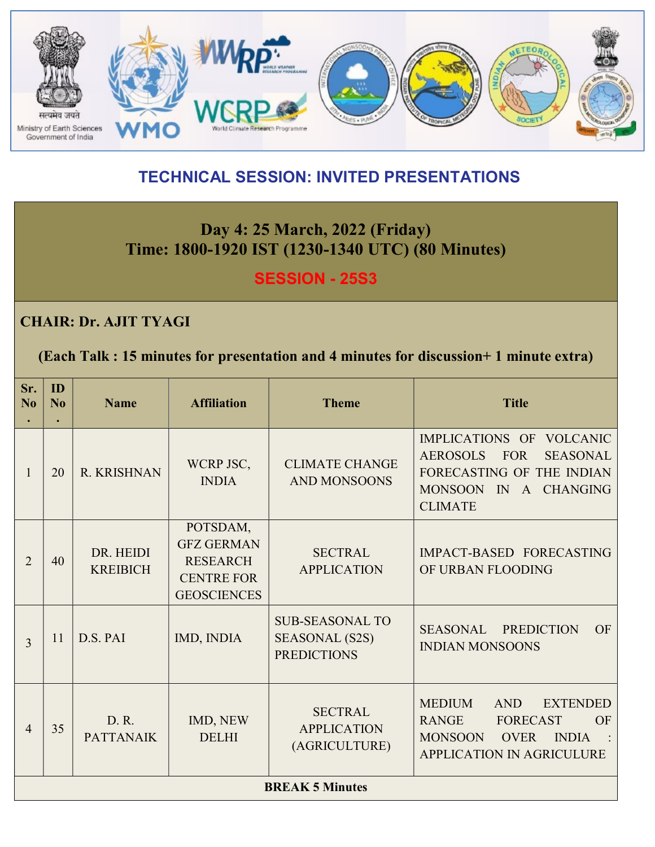

## TECHNICAL SESSION: INVITED PRESENTATIONS

## Day 4: 25 March, 2022 (Friday) Time: 1800-1920 IST (1230-1340 UTC) (80 Minutes)

**SESSION - 25S3** 

#### CHAIR: Dr. AJIT TYAGI

(Each Talk : 15 minutes for presentation and 4 minutes for discussion+ 1 minute extra)

| Sr.<br>No      | ID<br>No | <b>Name</b>                  | <b>Affiliation</b>                                                                          | <b>Theme</b>                                                          | <b>Title</b>                                                                                                                                                          |
|----------------|----------|------------------------------|---------------------------------------------------------------------------------------------|-----------------------------------------------------------------------|-----------------------------------------------------------------------------------------------------------------------------------------------------------------------|
| 1              | 20       | <b>R. KRISHNAN</b>           | WCRP JSC,<br><b>INDIA</b>                                                                   | <b>CLIMATE CHANGE</b><br><b>AND MONSOONS</b>                          | IMPLICATIONS OF VOLCANIC<br><b>FOR</b><br><b>AEROSOLS</b><br><b>SEASONAL</b><br>FORECASTING OF THE INDIAN<br>MONSOON IN A CHANGING<br><b>CLIMATE</b>                  |
| $\overline{2}$ | 40       | DR. HEIDI<br><b>KREIBICH</b> | POTSDAM,<br><b>GFZ GERMAN</b><br><b>RESEARCH</b><br><b>CENTRE FOR</b><br><b>GEOSCIENCES</b> | <b>SECTRAL</b><br><b>APPLICATION</b>                                  | IMPACT-BASED FORECASTING<br>OF URBAN FLOODING                                                                                                                         |
| 3              | 11       | D.S. PAI                     | IMD, INDIA                                                                                  | <b>SUB-SEASONAL TO</b><br><b>SEASONAL (S2S)</b><br><b>PREDICTIONS</b> | <b>SEASONAL</b><br><b>PREDICTION</b><br>OF<br><b>INDIAN MONSOONS</b>                                                                                                  |
| $\overline{4}$ | 35       | D. R.<br><b>PATTANAIK</b>    | IMD, NEW<br><b>DELHI</b>                                                                    | <b>SECTRAL</b><br><b>APPLICATION</b><br>(AGRICULTURE)                 | <b>MEDIUM</b><br><b>AND</b><br><b>EXTENDED</b><br><b>RANGE</b><br><b>FORECAST</b><br>OF<br><b>MONSOON</b><br><b>OVER</b><br><b>INDIA</b><br>APPLICATION IN AGRICULURE |
|                |          |                              |                                                                                             | <b>BREAK 5 Minutes</b>                                                |                                                                                                                                                                       |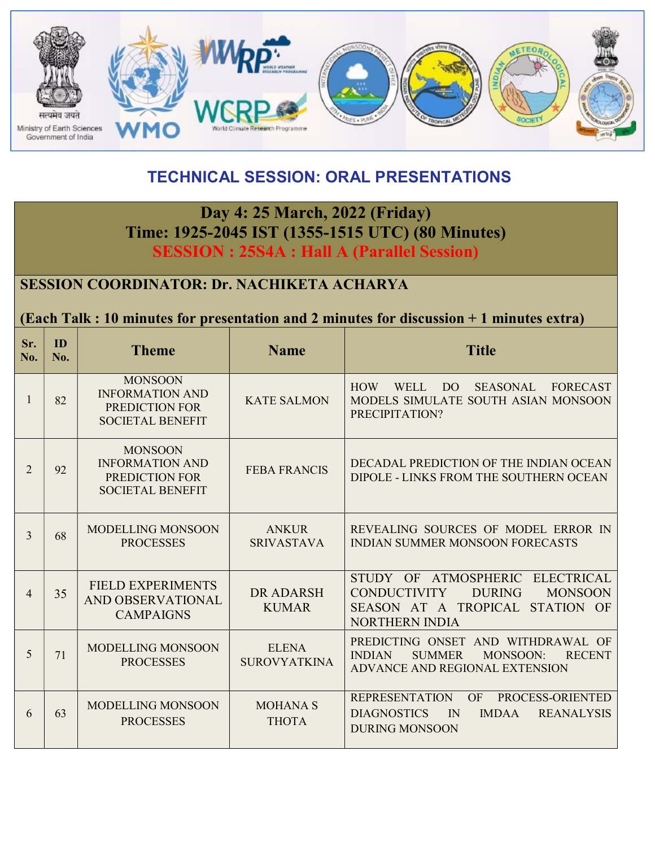

## TECHNICAL SESSION: ORAL PRESENTATIONS

#### Day 4: 25 March, 2022 (Friday) Time: 1925-2045 IST (1355-1515 UTC) (80 Minutes) SESSION : 25S4A : Hall A (Parallel Session)

#### SESSION COORDINATOR: Dr. NACHIKETA ACHARYA

#### (Each Talk : 10 minutes for presentation and 2 minutes for discussion + 1 minutes extra)

| Sr.<br>No.     | ID<br>No. | <b>Theme</b>                                                                          | <b>Name</b>                         | <b>Title</b>                                                                                                                                                              |
|----------------|-----------|---------------------------------------------------------------------------------------|-------------------------------------|---------------------------------------------------------------------------------------------------------------------------------------------------------------------------|
| 1              | 82        | <b>MONSOON</b><br><b>INFORMATION AND</b><br>PREDICTION FOR<br><b>SOCIETAL BENEFIT</b> | <b>KATE SALMON</b>                  | <b>DO</b><br><b>SEASONAL</b><br><b>HOW</b><br>WELL<br><b>FORECAST</b><br>MODELS SIMULATE SOUTH ASIAN MONSOON<br>PRECIPITATION?                                            |
| $\overline{2}$ | 92        | <b>MONSOON</b><br><b>INFORMATION AND</b><br>PREDICTION FOR<br><b>SOCIETAL BENEFIT</b> | <b>FEBA FRANCIS</b>                 | DECADAL PREDICTION OF THE INDIAN OCEAN<br>DIPOLE - LINKS FROM THE SOUTHERN OCEAN                                                                                          |
| 3              | 68        | <b>MODELLING MONSOON</b><br><b>PROCESSES</b>                                          | <b>ANKUR</b><br><b>SRIVASTAVA</b>   | REVEALING SOURCES OF MODEL ERROR IN<br><b>INDIAN SUMMER MONSOON FORECASTS</b>                                                                                             |
| 4              | 35        | <b>FIELD EXPERIMENTS</b><br>AND OBSERVATIONAL<br><b>CAMPAIGNS</b>                     | DR ADARSH<br><b>KUMAR</b>           | <b>ATMOSPHERIC</b><br>STUDY OF<br><b>ELECTRICAL</b><br><b>DURING</b><br><b>CONDUCTIVITY</b><br><b>MONSOON</b><br>SEASON AT A TROPICAL STATION OF<br><b>NORTHERN INDIA</b> |
| 5              | 71        | MODELLING MONSOON<br><b>PROCESSES</b>                                                 | <b>ELENA</b><br><b>SUROVYATKINA</b> | PREDICTING ONSET AND WITHDRAWAL OF<br><b>SUMMER</b><br><b>MONSOON:</b><br><b>INDIAN</b><br><b>RECENT</b><br>ADVANCE AND REGIONAL EXTENSION                                |
| 6              | 63        | <b>MODELLING MONSOON</b><br><b>PROCESSES</b>                                          | <b>MOHANA S</b><br><b>THOTA</b>     | <b>REPRESENTATION</b><br>OF<br>PROCESS-ORIENTED<br><b>DIAGNOSTICS</b><br>IN<br><b>IMDAA</b><br><b>REANALYSIS</b><br><b>DURING MONSOON</b>                                 |